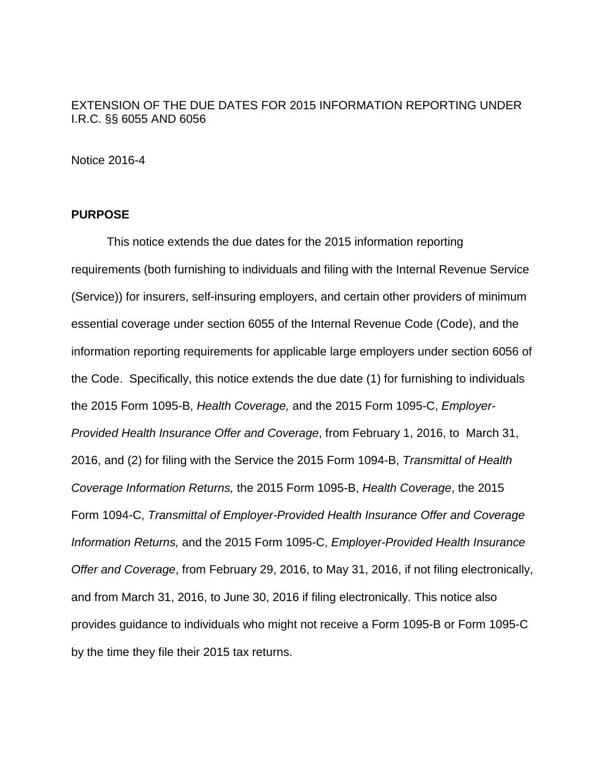# EXTENSION OF THE DUE DATES FOR 2015 INFORMATION REPORTING UNDER I.R.C. §§ 6055 AND 6056

Notice 2016-4

## **PURPOSE**

This notice extends the due dates for the 2015 information reporting requirements (both furnishing to individuals and filing with the Internal Revenue Service (Service)) for insurers, self-insuring employers, and certain other providers of minimum essential coverage under section 6055 of the Internal Revenue Code (Code), and the information reporting requirements for applicable large employers under section 6056 of the Code. Specifically, this notice extends the due date (1) for furnishing to individuals the 2015 Form 1095-B, *Health Coverage,* and the 2015 Form 1095-C, *Employer-Provided Health Insurance Offer and Coverage*, from February 1, 2016, to March 31, 2016, and (2) for filing with the Service the 2015 Form 1094-B, *Transmittal of Health Coverage Information Returns,* the 2015 Form 1095-B, *Health Coverage*, the 2015 Form 1094-C, *Transmittal of Employer-Provided Health Insurance Offer and Coverage Information Returns,* and the 2015 Form 1095-C, *Employer-Provided Health Insurance Offer and Coverage*, from February 29, 2016, to May 31, 2016, if not filing electronically, and from March 31, 2016, to June 30, 2016 if filing electronically. This notice also provides guidance to individuals who might not receive a Form 1095-B or Form 1095-C by the time they file their 2015 tax returns.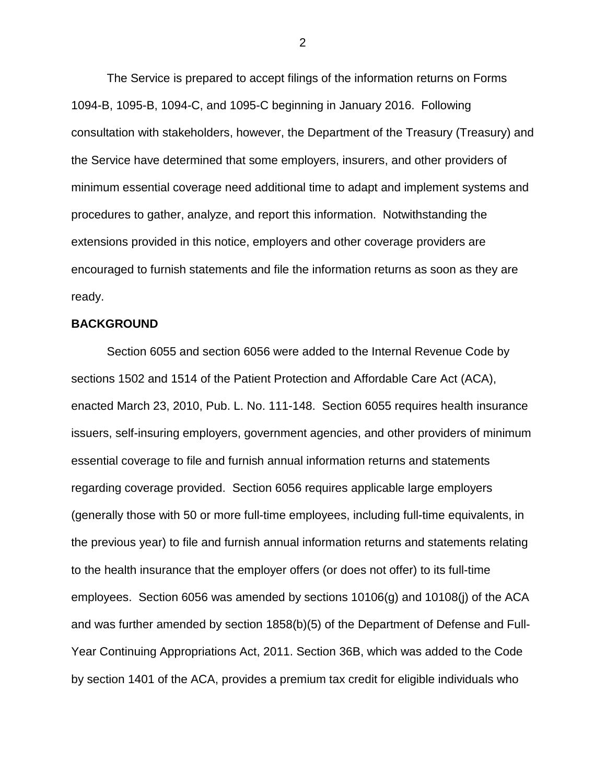The Service is prepared to accept filings of the information returns on Forms 1094-B, 1095-B, 1094-C, and 1095-C beginning in January 2016. Following consultation with stakeholders, however, the Department of the Treasury (Treasury) and the Service have determined that some employers, insurers, and other providers of minimum essential coverage need additional time to adapt and implement systems and procedures to gather, analyze, and report this information. Notwithstanding the extensions provided in this notice, employers and other coverage providers are encouraged to furnish statements and file the information returns as soon as they are ready.

#### **BACKGROUND**

Section 6055 and section 6056 were added to the Internal Revenue Code by sections 1502 and 1514 of the Patient Protection and Affordable Care Act (ACA), enacted March 23, 2010, Pub. L. No. 111-148. Section 6055 requires health insurance issuers, self-insuring employers, government agencies, and other providers of minimum essential coverage to file and furnish annual information returns and statements regarding coverage provided. Section 6056 requires applicable large employers (generally those with 50 or more full-time employees, including full-time equivalents, in the previous year) to file and furnish annual information returns and statements relating to the health insurance that the employer offers (or does not offer) to its full-time employees. Section 6056 was amended by sections 10106(g) and 10108(j) of the ACA and was further amended by section 1858(b)(5) of the Department of Defense and Full-Year Continuing Appropriations Act, 2011. Section 36B, which was added to the Code by section 1401 of the ACA, provides a premium tax credit for eligible individuals who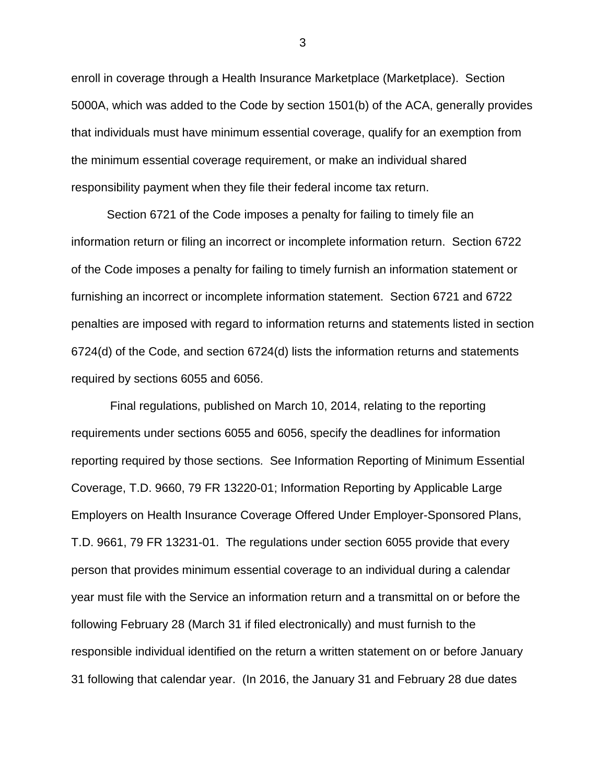enroll in coverage through a Health Insurance Marketplace (Marketplace). Section 5000A, which was added to the Code by section 1501(b) of the ACA, generally provides that individuals must have minimum essential coverage, qualify for an exemption from the minimum essential coverage requirement, or make an individual shared responsibility payment when they file their federal income tax return.

Section 6721 of the Code imposes a penalty for failing to timely file an information return or filing an incorrect or incomplete information return. Section 6722 of the Code imposes a penalty for failing to timely furnish an information statement or furnishing an incorrect or incomplete information statement. Section 6721 and 6722 penalties are imposed with regard to information returns and statements listed in section 6724(d) of the Code, and section 6724(d) lists the information returns and statements required by sections 6055 and 6056.

Final regulations, published on March 10, 2014, relating to the reporting requirements under sections 6055 and 6056, specify the deadlines for information reporting required by those sections. See Information Reporting of Minimum Essential Coverage, T.D. 9660, 79 FR 13220-01; Information Reporting by Applicable Large Employers on Health Insurance Coverage Offered Under Employer-Sponsored Plans, T.D. 9661, 79 FR 13231-01. The regulations under section 6055 provide that every person that provides minimum essential coverage to an individual during a calendar year must file with the Service an information return and a transmittal on or before the following February 28 (March 31 if filed electronically) and must furnish to the responsible individual identified on the return a written statement on or before January 31 following that calendar year. (In 2016, the January 31 and February 28 due dates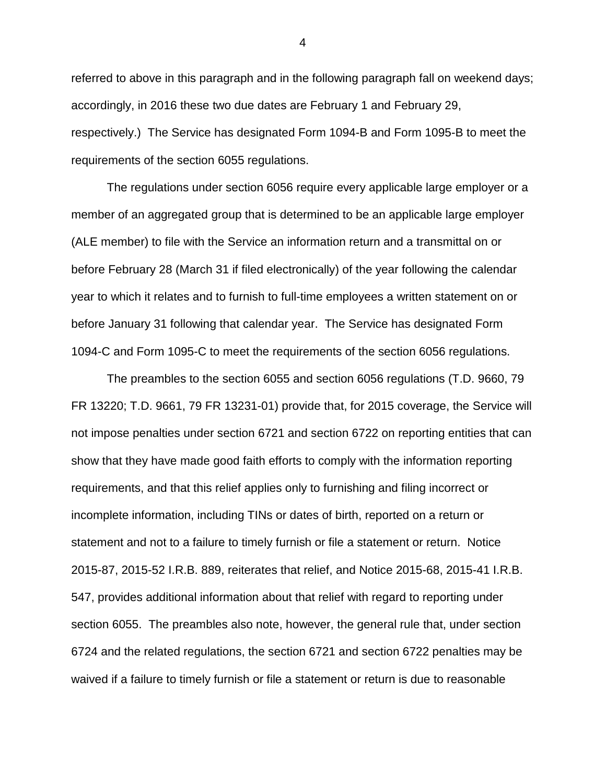referred to above in this paragraph and in the following paragraph fall on weekend days; accordingly, in 2016 these two due dates are February 1 and February 29, respectively.) The Service has designated Form 1094-B and Form 1095-B to meet the requirements of the section 6055 regulations.

The regulations under section 6056 require every applicable large employer or a member of an aggregated group that is determined to be an applicable large employer (ALE member) to file with the Service an information return and a transmittal on or before February 28 (March 31 if filed electronically) of the year following the calendar year to which it relates and to furnish to full-time employees a written statement on or before January 31 following that calendar year. The Service has designated Form 1094-C and Form 1095-C to meet the requirements of the section 6056 regulations.

The preambles to the section 6055 and section 6056 regulations (T.D. 9660, 79 FR 13220; T.D. 9661, 79 FR 13231-01) provide that, for 2015 coverage, the Service will not impose penalties under section 6721 and section 6722 on reporting entities that can show that they have made good faith efforts to comply with the information reporting requirements, and that this relief applies only to furnishing and filing incorrect or incomplete information, including TINs or dates of birth, reported on a return or statement and not to a failure to timely furnish or file a statement or return. Notice 2015-87, 2015-52 I.R.B. 889, reiterates that relief, and Notice 2015-68, 2015-41 I.R.B. 547, provides additional information about that relief with regard to reporting under section 6055. The preambles also note, however, the general rule that, under section 6724 and the related regulations, the section 6721 and section 6722 penalties may be waived if a failure to timely furnish or file a statement or return is due to reasonable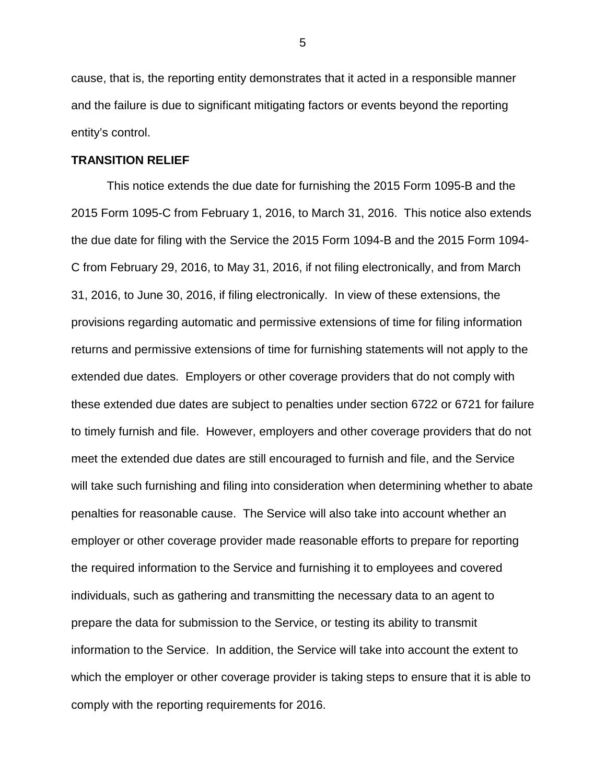cause, that is, the reporting entity demonstrates that it acted in a responsible manner and the failure is due to significant mitigating factors or events beyond the reporting entity's control.

### **TRANSITION RELIEF**

This notice extends the due date for furnishing the 2015 Form 1095-B and the 2015 Form 1095-C from February 1, 2016, to March 31, 2016. This notice also extends the due date for filing with the Service the 2015 Form 1094-B and the 2015 Form 1094- C from February 29, 2016, to May 31, 2016, if not filing electronically, and from March 31, 2016, to June 30, 2016, if filing electronically. In view of these extensions, the provisions regarding automatic and permissive extensions of time for filing information returns and permissive extensions of time for furnishing statements will not apply to the extended due dates. Employers or other coverage providers that do not comply with these extended due dates are subject to penalties under section 6722 or 6721 for failure to timely furnish and file. However, employers and other coverage providers that do not meet the extended due dates are still encouraged to furnish and file, and the Service will take such furnishing and filing into consideration when determining whether to abate penalties for reasonable cause. The Service will also take into account whether an employer or other coverage provider made reasonable efforts to prepare for reporting the required information to the Service and furnishing it to employees and covered individuals, such as gathering and transmitting the necessary data to an agent to prepare the data for submission to the Service, or testing its ability to transmit information to the Service. In addition, the Service will take into account the extent to which the employer or other coverage provider is taking steps to ensure that it is able to comply with the reporting requirements for 2016.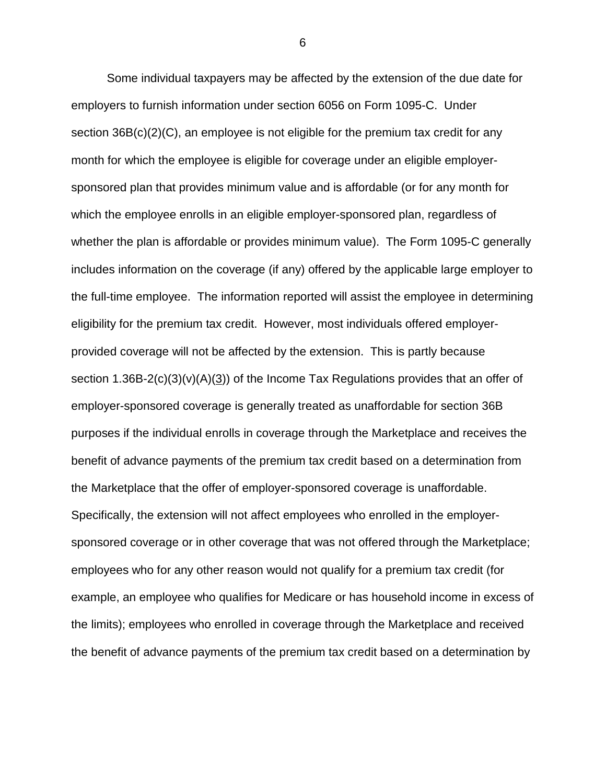Some individual taxpayers may be affected by the extension of the due date for employers to furnish information under section 6056 on Form 1095-C. Under section 36B(c)(2)(C), an employee is not eligible for the premium tax credit for any month for which the employee is eligible for coverage under an eligible employersponsored plan that provides minimum value and is affordable (or for any month for which the employee enrolls in an eligible employer-sponsored plan, regardless of whether the plan is affordable or provides minimum value). The Form 1095-C generally includes information on the coverage (if any) offered by the applicable large employer to the full-time employee. The information reported will assist the employee in determining eligibility for the premium tax credit. However, most individuals offered employerprovided coverage will not be affected by the extension. This is partly because section 1.36B-2(c)(3)(v)(A)(3)) of the Income Tax Regulations provides that an offer of employer-sponsored coverage is generally treated as unaffordable for section 36B purposes if the individual enrolls in coverage through the Marketplace and receives the benefit of advance payments of the premium tax credit based on a determination from the Marketplace that the offer of employer-sponsored coverage is unaffordable. Specifically, the extension will not affect employees who enrolled in the employersponsored coverage or in other coverage that was not offered through the Marketplace; employees who for any other reason would not qualify for a premium tax credit (for example, an employee who qualifies for Medicare or has household income in excess of the limits); employees who enrolled in coverage through the Marketplace and received the benefit of advance payments of the premium tax credit based on a determination by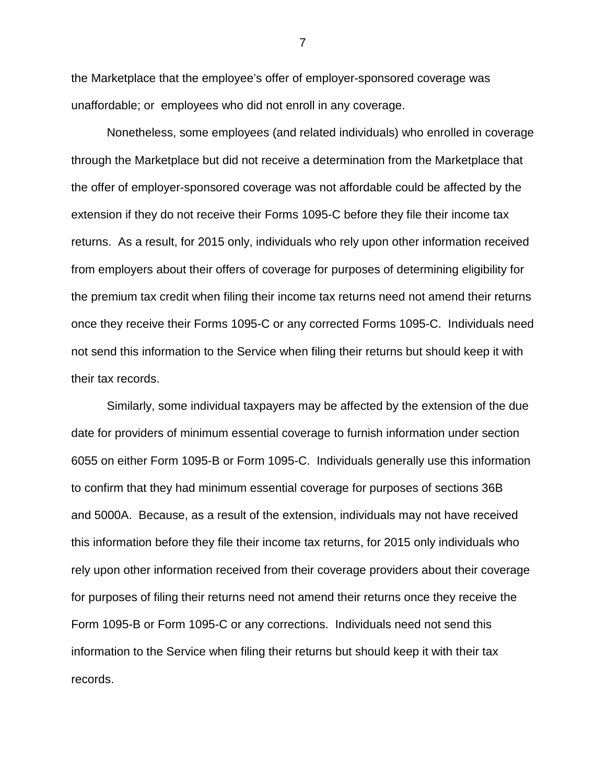the Marketplace that the employee's offer of employer-sponsored coverage was unaffordable; or employees who did not enroll in any coverage.

Nonetheless, some employees (and related individuals) who enrolled in coverage through the Marketplace but did not receive a determination from the Marketplace that the offer of employer-sponsored coverage was not affordable could be affected by the extension if they do not receive their Forms 1095-C before they file their income tax returns. As a result, for 2015 only, individuals who rely upon other information received from employers about their offers of coverage for purposes of determining eligibility for the premium tax credit when filing their income tax returns need not amend their returns once they receive their Forms 1095-C or any corrected Forms 1095-C. Individuals need not send this information to the Service when filing their returns but should keep it with their tax records.

Similarly, some individual taxpayers may be affected by the extension of the due date for providers of minimum essential coverage to furnish information under section 6055 on either Form 1095-B or Form 1095-C. Individuals generally use this information to confirm that they had minimum essential coverage for purposes of sections 36B and 5000A. Because, as a result of the extension, individuals may not have received this information before they file their income tax returns, for 2015 only individuals who rely upon other information received from their coverage providers about their coverage for purposes of filing their returns need not amend their returns once they receive the Form 1095-B or Form 1095-C or any corrections. Individuals need not send this information to the Service when filing their returns but should keep it with their tax records.